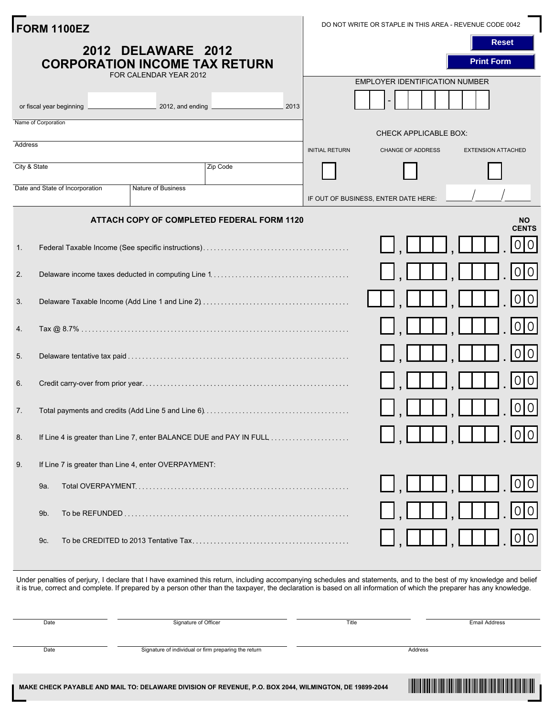|                    | FORM 1100EZ                                                                                       |                       | DO NOT WRITE OR STAPLE IN THIS AREA - REVENUE CODE 0042 |                           |
|--------------------|---------------------------------------------------------------------------------------------------|-----------------------|---------------------------------------------------------|---------------------------|
| 2012 DELAWARE 2012 |                                                                                                   |                       |                                                         | <b>Reset</b>              |
|                    | <b>CORPORATION INCOME TAX RETURN</b><br>FOR CALENDAR YEAR 2012                                    |                       |                                                         | <b>Print Form</b>         |
|                    |                                                                                                   |                       | <b>EMPLOYER IDENTIFICATION NUMBER</b>                   |                           |
|                    | 2012, and ending <b>CONFERENT PROPERTY</b> 2012, and ending<br>2013<br>or fiscal year beginning _ |                       |                                                         |                           |
|                    | Name of Corporation                                                                               |                       | <b>CHECK APPLICABLE BOX:</b>                            |                           |
| Address            |                                                                                                   | <b>INITIAL RETURN</b> | <b>CHANGE OF ADDRESS</b>                                | <b>EXTENSION ATTACHED</b> |
| City & State       | Zip Code                                                                                          |                       |                                                         |                           |
|                    | Date and State of Incorporation<br><b>Nature of Business</b>                                      |                       | IF OUT OF BUSINESS, ENTER DATE HERE:                    |                           |
|                    | ATTACH COPY OF COMPLETED FEDERAL FORM 1120                                                        |                       |                                                         | NO.<br><b>CENTS</b>       |
| 1.                 |                                                                                                   |                       |                                                         | 0 0                       |
| 2.                 |                                                                                                   |                       | $T \sqcup$                                              | 0 0                       |
| 3.                 |                                                                                                   |                       |                                                         | 0 0                       |
| 4.                 |                                                                                                   |                       | $\blacksquare$                                          | 0 0                       |
| 5.                 |                                                                                                   |                       |                                                         | 0 0                       |
| 6.                 |                                                                                                   |                       |                                                         | 0 0                       |
| 7.                 |                                                                                                   |                       |                                                         | 0 0                       |
| 8.                 | If Line 4 is greater than Line 7, enter BALANCE DUE and PAY IN FULL                               |                       |                                                         | 0 0                       |
| 9.                 | If Line 7 is greater than Line 4, enter OVERPAYMENT:                                              |                       |                                                         |                           |
|                    | 9a.                                                                                               |                       |                                                         | 0 0                       |
|                    | 9b.                                                                                               |                       |                                                         | 0 0                       |
|                    | 9c.                                                                                               |                       |                                                         | 0 0                       |
|                    |                                                                                                   |                       |                                                         |                           |

Under penalties of perjury, I declare that I have examined this return, including accompanying schedules and statements, and to the best of my knowledge and belief it is true, correct and complete. If prepared by a person other than the taxpayer, the declaration is based on all information of which the preparer has any knowledge.

| Date | Signature of Officer                                 | Title   | <b>Email Address</b> |
|------|------------------------------------------------------|---------|----------------------|
| Date | Signature of individual or firm preparing the return | Address |                      |
|      |                                                      |         |                      |

\*DF11112019999\*